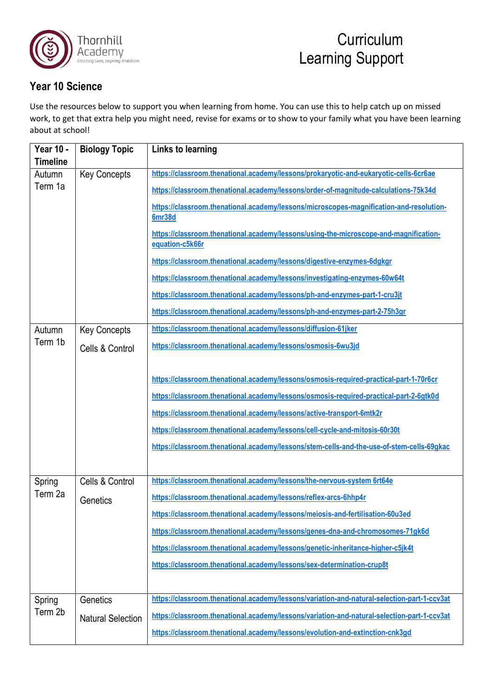

#### **Curriculum** Learning Support

#### **Year 10 Science**

Use the resources below to support you when learning from home. You can use this to help catch up on missed work, to get that extra help you might need, revise for exams or to show to your family what you have been learning about at school!

| Year 10 -<br><b>Timeline</b> | <b>Biology Topic</b>     | Links to learning                                                                                        |
|------------------------------|--------------------------|----------------------------------------------------------------------------------------------------------|
| Autumn                       | <b>Key Concepts</b>      | https://classroom.thenational.academy/lessons/prokaryotic-and-eukaryotic-cells-6cr6ae                    |
| Term 1a                      |                          | https://classroom.thenational.academy/lessons/order-of-magnitude-calculations-75k34d                     |
|                              |                          | https://classroom.thenational.academy/lessons/microscopes-magnification-and-resolution-<br>6mr38d        |
|                              |                          | https://classroom.thenational.academy/lessons/using-the-microscope-and-magnification-<br>equation-c5k66r |
|                              |                          | https://classroom.thenational.academy/lessons/digestive-enzymes-6dgkgr                                   |
|                              |                          | https://classroom.thenational.academy/lessons/investigating-enzymes-60w64t                               |
|                              |                          | https://classroom.thenational.academy/lessons/ph-and-enzymes-part-1-cru3jt                               |
|                              |                          | https://classroom.thenational.academy/lessons/ph-and-enzymes-part-2-75h3gr                               |
| Autumn                       | <b>Key Concepts</b>      | https://classroom.thenational.academy/lessons/diffusion-61jker                                           |
| Term 1b                      | Cells & Control          | https://classroom.thenational.academy/lessons/osmosis-6wu3jd                                             |
|                              |                          | https://classroom.thenational.academy/lessons/osmosis-required-practical-part-1-70r6cr                   |
|                              |                          | https://classroom.thenational.academy/lessons/osmosis-required-practical-part-2-6gtk0d                   |
|                              |                          | https://classroom.thenational.academy/lessons/active-transport-6mtk2r                                    |
|                              |                          | https://classroom.thenational.academy/lessons/cell-cycle-and-mitosis-60r30t                              |
|                              |                          | https://classroom.thenational.academy/lessons/stem-cells-and-the-use-of-stem-cells-69gkac                |
| Spring                       | Cells & Control          | https://classroom.thenational.academy/lessons/the-nervous-system 6rt64e                                  |
| Term 2a                      | Genetics                 | https://classroom.thenational.academy/lessons/reflex-arcs-6hhp4r                                         |
|                              |                          | https://classroom.thenational.academy/lessons/meiosis-and-fertilisation-60u3ed                           |
|                              |                          | https://classroom.thenational.academy/lessons/genes-dna-and-chromosomes-71gk6d                           |
|                              |                          | https://classroom.thenational.academy/lessons/genetic-inheritance-higher-c5jk4t                          |
|                              |                          | https://classroom.thenational.academy/lessons/sex-determination-crup8t                                   |
|                              |                          |                                                                                                          |
| Spring<br>Term 2b            | Genetics                 | https://classroom.thenational.academy/lessons/variation-and-natural-selection-part-1-ccv3at              |
|                              | <b>Natural Selection</b> | https://classroom.thenational.academy/lessons/variation-and-natural-selection-part-1-ccv3at              |
|                              |                          | https://classroom.thenational.academy/lessons/evolution-and-extinction-cnk3gd                            |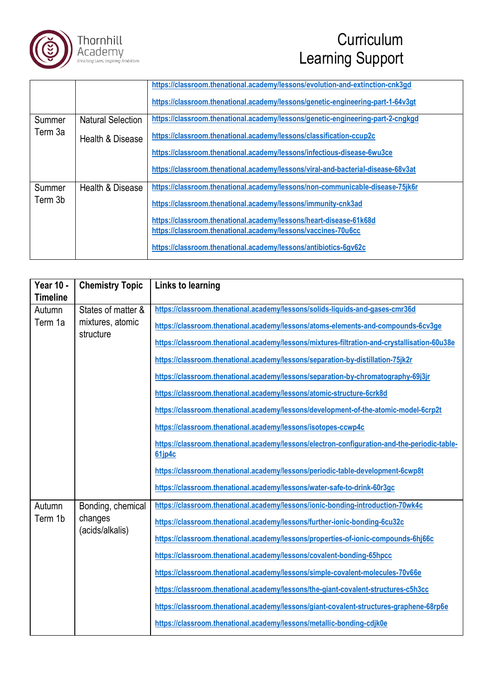

### **Curriculum** Learning Support

|         |                          | https://classroom.thenational.academy/lessons/evolution-and-extinction-cnk3gd    |
|---------|--------------------------|----------------------------------------------------------------------------------|
|         |                          | https://classroom.thenational.academy/lessons/genetic-engineering-part-1-64v3gt  |
| Summer  | <b>Natural Selection</b> | https://classroom.thenational.academy/lessons/genetic-engineering-part-2-cngkgd  |
| Term 3a | Health & Disease         | https://classroom.thenational.academy/lessons/classification-ccup2c              |
|         |                          | https://classroom.thenational.academy/lessons/infectious-disease-6wu3ce          |
|         |                          | https://classroom.thenational.academy/lessons/viral-and-bacterial-disease-68v3at |
| Summer  | Health & Disease         | https://classroom.thenational.academy/lessons/non-communicable-disease-75jk6r    |
| Term 3b |                          | https://classroom.thenational.academy/lessons/immunity-cnk3ad                    |
|         |                          | https://classroom.thenational.academy/lessons/heart-disease-61k68d               |
|         |                          | https://classroom.thenational.academy/lessons/vaccines-70u6cc                    |
|         |                          | https://classroom.thenational.academy/lessons/antibiotics-6gv62c                 |

| <b>Year 10 -</b> | <b>Chemistry Topic</b>                          | Links to learning                                                                                      |
|------------------|-------------------------------------------------|--------------------------------------------------------------------------------------------------------|
| <b>Timeline</b>  |                                                 |                                                                                                        |
| Autumn           | States of matter &                              | https://classroom.thenational.academy/lessons/solids-liquids-and-gases-cmr36d                          |
| Term 1a          | mixtures, atomic<br>structure                   | https://classroom.thenational.academy/lessons/atoms-elements-and-compounds-6cv3ge                      |
|                  |                                                 | https://classroom.thenational.academy/lessons/mixtures-filtration-and-crystallisation-60u38e           |
|                  |                                                 | https://classroom.thenational.academy/lessons/separation-by-distillation-75jk2r                        |
|                  |                                                 | https://classroom.thenational.academy/lessons/separation-by-chromatography-69j3jr                      |
|                  |                                                 | https://classroom.thenational.academy/lessons/atomic-structure-6crk8d                                  |
|                  |                                                 | https://classroom.thenational.academy/lessons/development-of-the-atomic-model-6crp2t                   |
|                  |                                                 | https://classroom.thenational.academy/lessons/isotopes-ccwp4c                                          |
|                  |                                                 | https://classroom.thenational.academy/lessons/electron-configuration-and-the-periodic-table-<br>61jp4c |
|                  |                                                 | https://classroom.thenational.academy/lessons/periodic-table-development-6cwp8t                        |
|                  |                                                 | https://classroom.thenational.academy/lessons/water-safe-to-drink-60r3gc                               |
| Autumn           | Bonding, chemical<br>changes<br>(acids/alkalis) | https://classroom.thenational.academy/lessons/ionic-bonding-introduction-70wk4c                        |
| Term 1b          |                                                 | https://classroom.thenational.academy/lessons/further-ionic-bonding-6cu32c                             |
|                  |                                                 | https://classroom.thenational.academy/lessons/properties-of-ionic-compounds-6hj66c                     |
|                  |                                                 | https://classroom.thenational.academy/lessons/covalent-bonding-65hpcc                                  |
|                  |                                                 | https://classroom.thenational.academy/lessons/simple-covalent-molecules-70v66e                         |
|                  |                                                 | https://classroom.thenational.academy/lessons/the-giant-covalent-structures-c5h3cc                     |
|                  |                                                 | https://classroom.thenational.academy/lessons/giant-covalent-structures-graphene-68rp6e                |
|                  |                                                 | https://classroom.thenational.academy/lessons/metallic-bonding-cdjk0e                                  |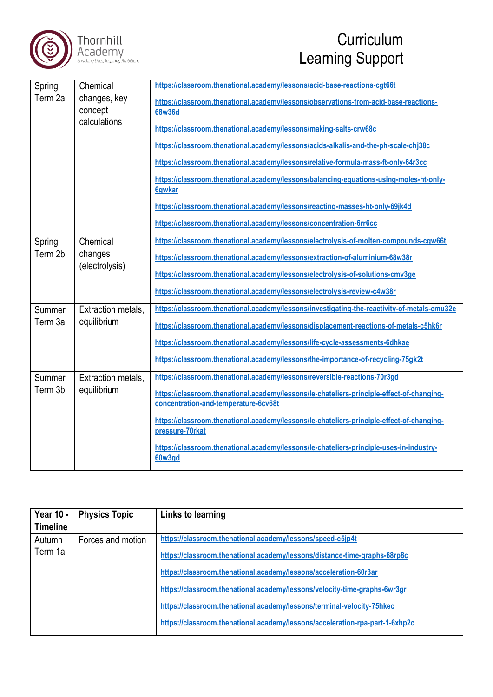



### **Curriculum** Learning Support

| Spring  | Chemical                  | https://classroom.thenational.academy/lessons/acid-base-reactions-cgt66t                                     |
|---------|---------------------------|--------------------------------------------------------------------------------------------------------------|
| Term 2a | changes, key<br>concept   | https://classroom.thenational.academy/lessons/observations-from-acid-base-reactions-<br>68w36d               |
|         | calculations              | https://classroom.thenational.academy/lessons/making-salts-crw68c                                            |
|         |                           | https://classroom.thenational.academy/lessons/acids-alkalis-and-the-ph-scale-chj38c                          |
|         |                           | https://classroom.thenational.academy/lessons/relative-formula-mass-ft-only-64r3cc                           |
|         |                           | https://classroom.thenational.academy/lessons/balancing-equations-using-moles-ht-only-<br><b>6gwkar</b>      |
|         |                           | https://classroom.thenational.academy/lessons/reacting-masses-ht-only-69jk4d                                 |
|         |                           | https://classroom.thenational.academy/lessons/concentration-6rr6cc                                           |
| Spring  | Chemical                  | https://classroom.thenational.academy/lessons/electrolysis-of-molten-compounds-cgw66t                        |
| Term 2b | changes<br>(electrolysis) | https://classroom.thenational.academy/lessons/extraction-of-aluminium-68w38r                                 |
|         |                           | https://classroom.thenational.academy/lessons/electrolysis-of-solutions-cmv3ge                               |
|         |                           | https://classroom.thenational.academy/lessons/electrolysis-review-c4w38r                                     |
| Summer  | Extraction metals.        | https://classroom.thenational.academy/lessons/investigating-the-reactivity-of-metals-cmu32e                  |
| Term 3a | equilibrium               | https://classroom.thenational.academy/lessons/displacement-reactions-of-metals-c5hk6r                        |
|         |                           | https://classroom.thenational.academy/lessons/life-cycle-assessments-6dhkae                                  |
|         |                           | https://classroom.thenational.academy/lessons/the-importance-of-recycling-75gk2t                             |
| Summer  | Extraction metals,        | https://classroom.thenational.academy/lessons/reversible-reactions-70r3gd                                    |
| Term 3b | equilibrium               | https://classroom.thenational.academy/lessons/le-chateliers-principle-effect-of-changing-                    |
|         |                           | concentration-and-temperature-6cv68t                                                                         |
|         |                           | https://classroom.thenational.academy/lessons/le-chateliers-principle-effect-of-changing-<br>pressure-70rkat |
|         |                           | https://classroom.thenational.academy/lessons/le-chateliers-principle-uses-in-industry-<br>60w3gd            |
|         |                           |                                                                                                              |

| <b>Year 10 -</b> | <b>Physics Topic</b> | Links to learning                                                            |
|------------------|----------------------|------------------------------------------------------------------------------|
| <b>Timeline</b>  |                      |                                                                              |
| Autumn           | Forces and motion    | https://classroom.thenational.academy/lessons/speed-c5jp4t                   |
| Term 1a          |                      | https://classroom.thenational.academy/lessons/distance-time-graphs-68rp8c    |
|                  |                      | https://classroom.thenational.academy/lessons/acceleration-60r3ar            |
|                  |                      | https://classroom.thenational.academy/lessons/velocity-time-graphs-6wr3gr    |
|                  |                      | https://classroom.thenational.academy/lessons/terminal-velocity-75hkec       |
|                  |                      | https://classroom.thenational.academy/lessons/acceleration-rpa-part-1-6xhp2c |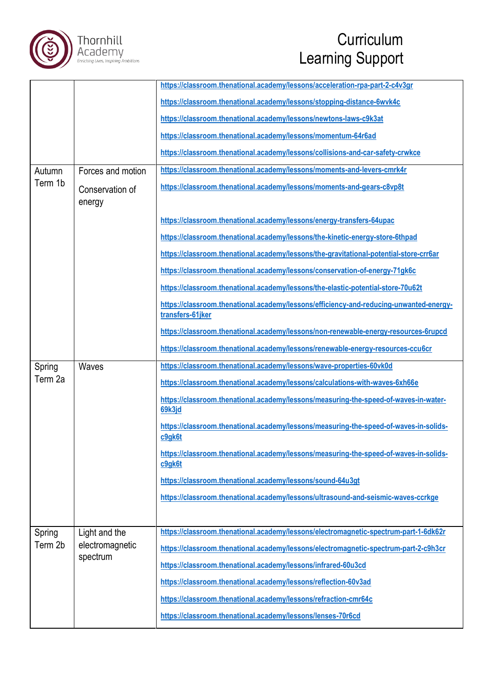

# Learning Support

**Curriculum** 

|         |                           | https://classroom.thenational.academy/lessons/acceleration-rpa-part-2-c4v3gr                               |
|---------|---------------------------|------------------------------------------------------------------------------------------------------------|
|         |                           | https://classroom.thenational.academy/lessons/stopping-distance-6wvk4c                                     |
|         |                           | https://classroom.thenational.academy/lessons/newtons-laws-c9k3at                                          |
|         |                           | https://classroom.thenational.academy/lessons/momentum-64r6ad                                              |
|         |                           | https://classroom.thenational.academy/lessons/collisions-and-car-safety-crwkce                             |
| Autumn  | Forces and motion         | https://classroom.thenational.academy/lessons/moments-and-levers-cmrk4r                                    |
| Term 1b | Conservation of<br>energy | https://classroom.thenational.academy/lessons/moments-and-gears-c8vp8t                                     |
|         |                           | https://classroom.thenational.academy/lessons/energy-transfers-64upac                                      |
|         |                           | https://classroom.thenational.academy/lessons/the-kinetic-energy-store-6thpad                              |
|         |                           | https://classroom.thenational.academy/lessons/the-gravitational-potential-store-crr6ar                     |
|         |                           | https://classroom.thenational.academy/lessons/conservation-of-energy-71gk6c                                |
|         |                           | https://classroom.thenational.academy/lessons/the-elastic-potential-store-70u62t                           |
|         |                           | https://classroom.thenational.academy/lessons/efficiency-and-reducing-unwanted-energy-<br>transfers-61jker |
|         |                           | https://classroom.thenational.academy/lessons/non-renewable-energy-resources-6rupcd                        |
|         |                           | https://classroom.thenational.academy/lessons/renewable-energy-resources-ccu6cr                            |
| Spring  | Waves                     | https://classroom.thenational.academy/lessons/wave-properties-60vk0d                                       |
| Term 2a |                           | https://classroom.thenational.academy/lessons/calculations-with-waves-6xh66e                               |
|         |                           | https://classroom.thenational.academy/lessons/measuring-the-speed-of-waves-in-water-<br>69k3jd             |
|         |                           | https://classroom.thenational.academy/lessons/measuring-the-speed-of-waves-in-solids-<br>c9gk6t            |
|         |                           | https://classroom.thenational.academy/lessons/measuring-the-speed-of-waves-in-solids-<br>c9gk6t            |
|         |                           | https://classroom.thenational.academy/lessons/sound-64u3gt                                                 |
|         |                           | https://classroom.thenational.academy/lessons/ultrasound-and-seismic-waves-ccrkge                          |
|         |                           |                                                                                                            |
| Spring  | Light and the             | https://classroom.thenational.academy/lessons/electromagnetic-spectrum-part-1-6dk62r                       |
| Term 2b | electromagnetic           | https://classroom.thenational.academy/lessons/electromagnetic-spectrum-part-2-c9h3cr                       |
|         | spectrum                  | https://classroom.thenational.academy/lessons/infrared-60u3cd                                              |
|         |                           | https://classroom.thenational.academy/lessons/reflection-60v3ad                                            |
|         |                           | https://classroom.thenational.academy/lessons/refraction-cmr64c                                            |
|         |                           |                                                                                                            |
|         |                           | https://classroom.thenational.academy/lessons/lenses-70r6cd                                                |